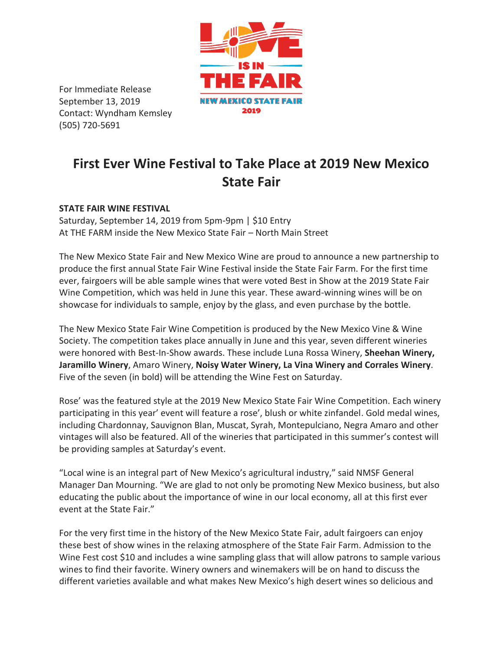

For Immediate Release September 13, 2019 Contact: Wyndham Kemsley (505) 720-5691

## **First Ever Wine Festival to Take Place at 2019 New Mexico State Fair**

## **STATE FAIR WINE FESTIVAL**

Saturday, September 14, 2019 from 5pm-9pm | \$10 Entry At THE FARM inside the New Mexico State Fair – North Main Street

The New Mexico State Fair and New Mexico Wine are proud to announce a new partnership to produce the first annual State Fair Wine Festival inside the State Fair Farm. For the first time ever, fairgoers will be able sample wines that were voted Best in Show at the 2019 State Fair Wine Competition, which was held in June this year. These award-winning wines will be on showcase for individuals to sample, enjoy by the glass, and even purchase by the bottle.

The New Mexico State Fair Wine Competition is produced by the New Mexico Vine & Wine Society. The competition takes place annually in June and this year, seven different wineries were honored with Best-In-Show awards. These include Luna Rossa Winery, **Sheehan Winery, Jaramillo Winery**, Amaro Winery, **Noisy Water Winery, La Vina Winery and Corrales Winery**. Five of the seven (in bold) will be attending the Wine Fest on Saturday.

Rose' was the featured style at the 2019 New Mexico State Fair Wine Competition. Each winery participating in this year' event will feature a rose', blush or white zinfandel. Gold medal wines, including Chardonnay, Sauvignon Blan, Muscat, Syrah, Montepulciano, Negra Amaro and other vintages will also be featured. All of the wineries that participated in this summer's contest will be providing samples at Saturday's event.

"Local wine is an integral part of New Mexico's agricultural industry," said NMSF General Manager Dan Mourning. "We are glad to not only be promoting New Mexico business, but also educating the public about the importance of wine in our local economy, all at this first ever event at the State Fair."

For the very first time in the history of the New Mexico State Fair, adult fairgoers can enjoy these best of show wines in the relaxing atmosphere of the State Fair Farm. Admission to the Wine Fest cost \$10 and includes a wine sampling glass that will allow patrons to sample various wines to find their favorite. Winery owners and winemakers will be on hand to discuss the different varieties available and what makes New Mexico's high desert wines so delicious and